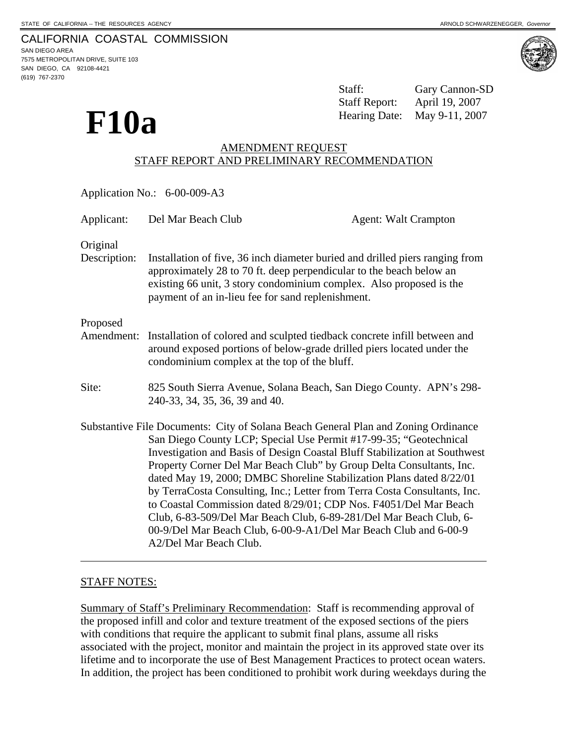CALIFORNIA COASTAL COMMISSION 7575 METROPOLITAN DRIVE, SUITE 103

 **F10a** 

SAN DIEGO AREA SAN DIEGO, CA 92108-4421 (619) 767-2370





Staff: Gary Cannon-SD Staff Report: April 19, 2007 Hearing Date: May 9-11, 2007

# AMENDMENT REQUEST STAFF REPORT AND PRELIMINARY RECOMMENDATION

| Application No.: 6-00-009-A3 |                                                                                                                                                                                                                                                                                                                                                                                                                                                                                                                                                                                                                                                                                                             |                             |
|------------------------------|-------------------------------------------------------------------------------------------------------------------------------------------------------------------------------------------------------------------------------------------------------------------------------------------------------------------------------------------------------------------------------------------------------------------------------------------------------------------------------------------------------------------------------------------------------------------------------------------------------------------------------------------------------------------------------------------------------------|-----------------------------|
| Applicant:                   | Del Mar Beach Club                                                                                                                                                                                                                                                                                                                                                                                                                                                                                                                                                                                                                                                                                          | <b>Agent: Walt Crampton</b> |
| Original<br>Description:     | Installation of five, 36 inch diameter buried and drilled piers ranging from<br>approximately 28 to 70 ft. deep perpendicular to the beach below an<br>existing 66 unit, 3 story condominium complex. Also proposed is the<br>payment of an in-lieu fee for sand replenishment.                                                                                                                                                                                                                                                                                                                                                                                                                             |                             |
| Proposed<br>Amendment:       | Installation of colored and sculpted tiedback concrete infill between and<br>around exposed portions of below-grade drilled piers located under the<br>condominium complex at the top of the bluff.                                                                                                                                                                                                                                                                                                                                                                                                                                                                                                         |                             |
| Site:                        | 825 South Sierra Avenue, Solana Beach, San Diego County. APN's 298-<br>240-33, 34, 35, 36, 39 and 40.                                                                                                                                                                                                                                                                                                                                                                                                                                                                                                                                                                                                       |                             |
|                              | Substantive File Documents: City of Solana Beach General Plan and Zoning Ordinance<br>San Diego County LCP; Special Use Permit #17-99-35; "Geotechnical<br>Investigation and Basis of Design Coastal Bluff Stabilization at Southwest<br>Property Corner Del Mar Beach Club" by Group Delta Consultants, Inc.<br>dated May 19, 2000; DMBC Shoreline Stabilization Plans dated 8/22/01<br>by TerraCosta Consulting, Inc.; Letter from Terra Costa Consultants, Inc.<br>to Coastal Commission dated 8/29/01; CDP Nos. F4051/Del Mar Beach<br>Club, 6-83-509/Del Mar Beach Club, 6-89-281/Del Mar Beach Club, 6-<br>00-9/Del Mar Beach Club, 6-00-9-A1/Del Mar Beach Club and 6-00-9<br>A2/Del Mar Beach Club. |                             |

## STAFF NOTES:

Summary of Staff's Preliminary Recommendation: Staff is recommending approval of the proposed infill and color and texture treatment of the exposed sections of the piers with conditions that require the applicant to submit final plans, assume all risks associated with the project, monitor and maintain the project in its approved state over its lifetime and to incorporate the use of Best Management Practices to protect ocean waters. In addition, the project has been conditioned to prohibit work during weekdays during the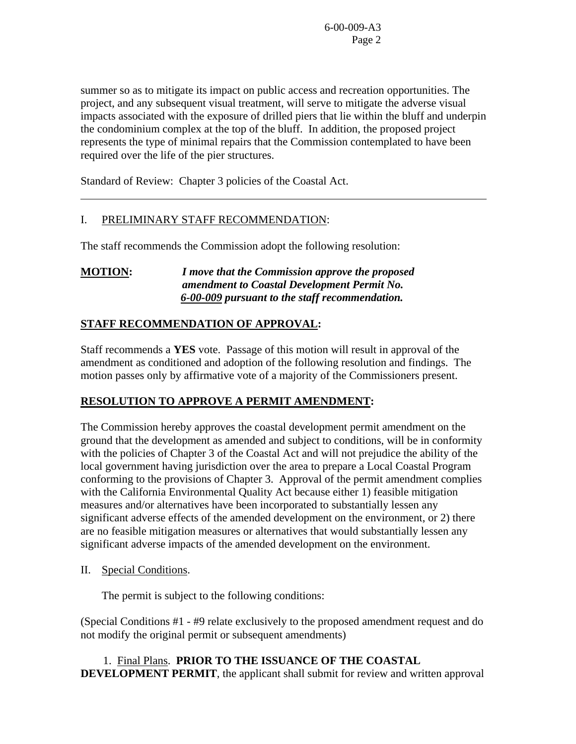summer so as to mitigate its impact on public access and recreation opportunities. The project, and any subsequent visual treatment, will serve to mitigate the adverse visual impacts associated with the exposure of drilled piers that lie within the bluff and underpin the condominium complex at the top of the bluff. In addition, the proposed project represents the type of minimal repairs that the Commission contemplated to have been required over the life of the pier structures.

Standard of Review: Chapter 3 policies of the Coastal Act.

## I. PRELIMINARY STAFF RECOMMENDATION:

The staff recommends the Commission adopt the following resolution:

**MOTION:** *I move that the Commission approve the proposed amendment to Coastal Development Permit No.*  *6-00-009 pursuant to the staff recommendation.*

## **STAFF RECOMMENDATION OF APPROVAL:**

Staff recommends a **YES** vote. Passage of this motion will result in approval of the amendment as conditioned and adoption of the following resolution and findings. The motion passes only by affirmative vote of a majority of the Commissioners present.

## **RESOLUTION TO APPROVE A PERMIT AMENDMENT:**

The Commission hereby approves the coastal development permit amendment on the ground that the development as amended and subject to conditions, will be in conformity with the policies of Chapter 3 of the Coastal Act and will not prejudice the ability of the local government having jurisdiction over the area to prepare a Local Coastal Program conforming to the provisions of Chapter 3. Approval of the permit amendment complies with the California Environmental Quality Act because either 1) feasible mitigation measures and/or alternatives have been incorporated to substantially lessen any significant adverse effects of the amended development on the environment, or 2) there are no feasible mitigation measures or alternatives that would substantially lessen any significant adverse impacts of the amended development on the environment.

II. Special Conditions.

 $\overline{a}$ 

The permit is subject to the following conditions:

(Special Conditions #1 - #9 relate exclusively to the proposed amendment request and do not modify the original permit or subsequent amendments)

1. Final Plans. **PRIOR TO THE ISSUANCE OF THE COASTAL DEVELOPMENT PERMIT**, the applicant shall submit for review and written approval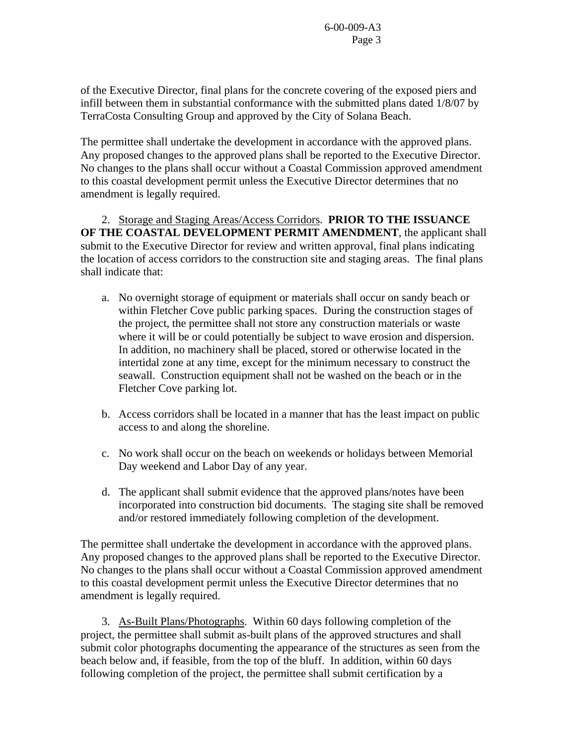of the Executive Director, final plans for the concrete covering of the exposed piers and infill between them in substantial conformance with the submitted plans dated 1/8/07 by TerraCosta Consulting Group and approved by the City of Solana Beach.

The permittee shall undertake the development in accordance with the approved plans. Any proposed changes to the approved plans shall be reported to the Executive Director. No changes to the plans shall occur without a Coastal Commission approved amendment to this coastal development permit unless the Executive Director determines that no amendment is legally required.

 2. Storage and Staging Areas/Access Corridors. **PRIOR TO THE ISSUANCE OF THE COASTAL DEVELOPMENT PERMIT AMENDMENT**, the applicant shall submit to the Executive Director for review and written approval, final plans indicating the location of access corridors to the construction site and staging areas. The final plans shall indicate that:

- a. No overnight storage of equipment or materials shall occur on sandy beach or within Fletcher Cove public parking spaces. During the construction stages of the project, the permittee shall not store any construction materials or waste where it will be or could potentially be subject to wave erosion and dispersion. In addition, no machinery shall be placed, stored or otherwise located in the intertidal zone at any time, except for the minimum necessary to construct the seawall. Construction equipment shall not be washed on the beach or in the Fletcher Cove parking lot.
- b. Access corridors shall be located in a manner that has the least impact on public access to and along the shoreline.
- c. No work shall occur on the beach on weekends or holidays between Memorial Day weekend and Labor Day of any year.
- d. The applicant shall submit evidence that the approved plans/notes have been incorporated into construction bid documents. The staging site shall be removed and/or restored immediately following completion of the development.

The permittee shall undertake the development in accordance with the approved plans. Any proposed changes to the approved plans shall be reported to the Executive Director. No changes to the plans shall occur without a Coastal Commission approved amendment to this coastal development permit unless the Executive Director determines that no amendment is legally required.

 3. As-Built Plans/Photographs. Within 60 days following completion of the project, the permittee shall submit as-built plans of the approved structures and shall submit color photographs documenting the appearance of the structures as seen from the beach below and, if feasible, from the top of the bluff. In addition, within 60 days following completion of the project, the permittee shall submit certification by a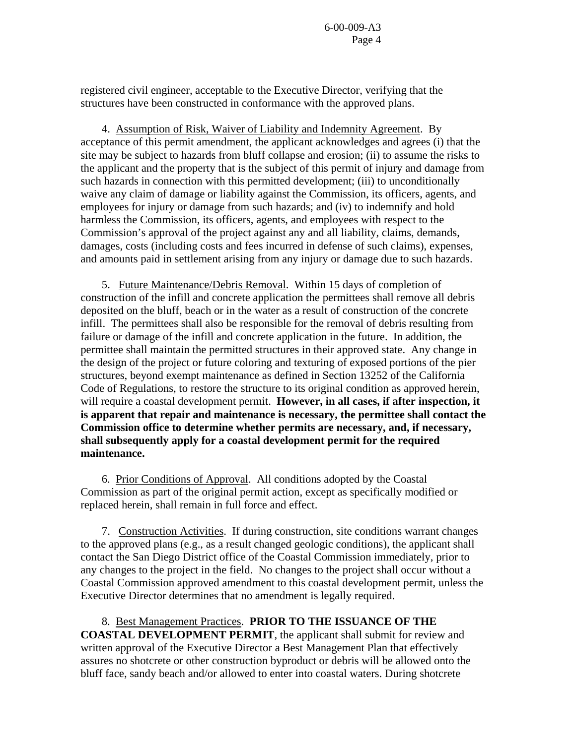registered civil engineer, acceptable to the Executive Director, verifying that the structures have been constructed in conformance with the approved plans.

 4. Assumption of Risk, Waiver of Liability and Indemnity Agreement. By acceptance of this permit amendment, the applicant acknowledges and agrees (i) that the site may be subject to hazards from bluff collapse and erosion; (ii) to assume the risks to the applicant and the property that is the subject of this permit of injury and damage from such hazards in connection with this permitted development; (iii) to unconditionally waive any claim of damage or liability against the Commission, its officers, agents, and employees for injury or damage from such hazards; and (iv) to indemnify and hold harmless the Commission, its officers, agents, and employees with respect to the Commission's approval of the project against any and all liability, claims, demands, damages, costs (including costs and fees incurred in defense of such claims), expenses, and amounts paid in settlement arising from any injury or damage due to such hazards.

 5. Future Maintenance/Debris Removal. Within 15 days of completion of construction of the infill and concrete application the permittees shall remove all debris deposited on the bluff, beach or in the water as a result of construction of the concrete infill. The permittees shall also be responsible for the removal of debris resulting from failure or damage of the infill and concrete application in the future. In addition, the permittee shall maintain the permitted structures in their approved state. Any change in the design of the project or future coloring and texturing of exposed portions of the pier structures, beyond exempt maintenance as defined in Section 13252 of the California Code of Regulations, to restore the structure to its original condition as approved herein, will require a coastal development permit. **However, in all cases, if after inspection, it is apparent that repair and maintenance is necessary, the permittee shall contact the Commission office to determine whether permits are necessary, and, if necessary, shall subsequently apply for a coastal development permit for the required maintenance.** 

 6. Prior Conditions of Approval. All conditions adopted by the Coastal Commission as part of the original permit action, except as specifically modified or replaced herein, shall remain in full force and effect.

 7. Construction Activities. If during construction, site conditions warrant changes to the approved plans (e.g., as a result changed geologic conditions), the applicant shall contact the San Diego District office of the Coastal Commission immediately, prior to any changes to the project in the field. No changes to the project shall occur without a Coastal Commission approved amendment to this coastal development permit, unless the Executive Director determines that no amendment is legally required.

8. Best Management Practices. **PRIOR TO THE ISSUANCE OF THE COASTAL DEVELOPMENT PERMIT**, the applicant shall submit for review and written approval of the Executive Director a Best Management Plan that effectively assures no shotcrete or other construction byproduct or debris will be allowed onto the bluff face, sandy beach and/or allowed to enter into coastal waters. During shotcrete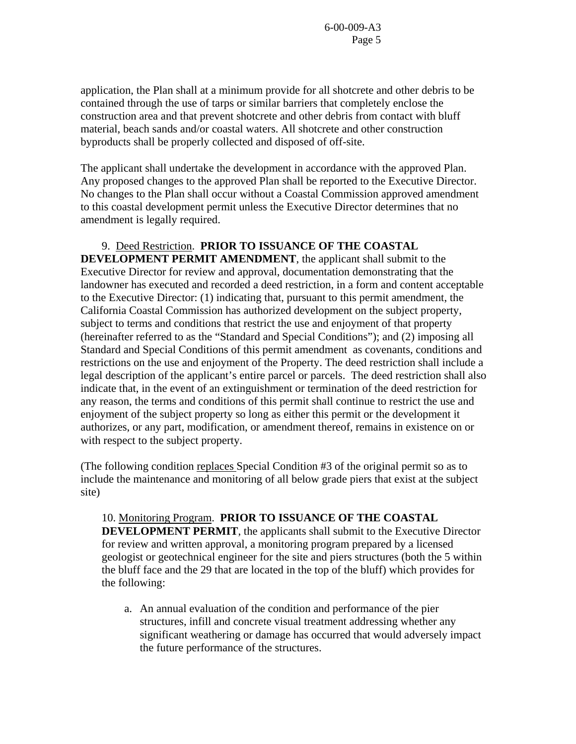application, the Plan shall at a minimum provide for all shotcrete and other debris to be contained through the use of tarps or similar barriers that completely enclose the construction area and that prevent shotcrete and other debris from contact with bluff material, beach sands and/or coastal waters. All shotcrete and other construction byproducts shall be properly collected and disposed of off-site.

The applicant shall undertake the development in accordance with the approved Plan. Any proposed changes to the approved Plan shall be reported to the Executive Director. No changes to the Plan shall occur without a Coastal Commission approved amendment to this coastal development permit unless the Executive Director determines that no amendment is legally required.

### 9. Deed Restriction. **PRIOR TO ISSUANCE OF THE COASTAL**

**DEVELOPMENT PERMIT AMENDMENT**, the applicant shall submit to the Executive Director for review and approval, documentation demonstrating that the landowner has executed and recorded a deed restriction, in a form and content acceptable to the Executive Director: (1) indicating that, pursuant to this permit amendment, the California Coastal Commission has authorized development on the subject property, subject to terms and conditions that restrict the use and enjoyment of that property (hereinafter referred to as the "Standard and Special Conditions"); and (2) imposing all Standard and Special Conditions of this permit amendment as covenants, conditions and restrictions on the use and enjoyment of the Property. The deed restriction shall include a legal description of the applicant's entire parcel or parcels. The deed restriction shall also indicate that, in the event of an extinguishment or termination of the deed restriction for any reason, the terms and conditions of this permit shall continue to restrict the use and enjoyment of the subject property so long as either this permit or the development it authorizes, or any part, modification, or amendment thereof, remains in existence on or with respect to the subject property.

(The following condition replaces Special Condition #3 of the original permit so as to include the maintenance and monitoring of all below grade piers that exist at the subject site)

### 10. Monitoring Program. **PRIOR TO ISSUANCE OF THE COASTAL DEVELOPMENT PERMIT**, the applicants shall submit to the Executive Director for review and written approval, a monitoring program prepared by a licensed geologist or geotechnical engineer for the site and piers structures (both the 5 within the bluff face and the 29 that are located in the top of the bluff) which provides for

the following:

 a. An annual evaluation of the condition and performance of the pier structures, infill and concrete visual treatment addressing whether any significant weathering or damage has occurred that would adversely impact the future performance of the structures.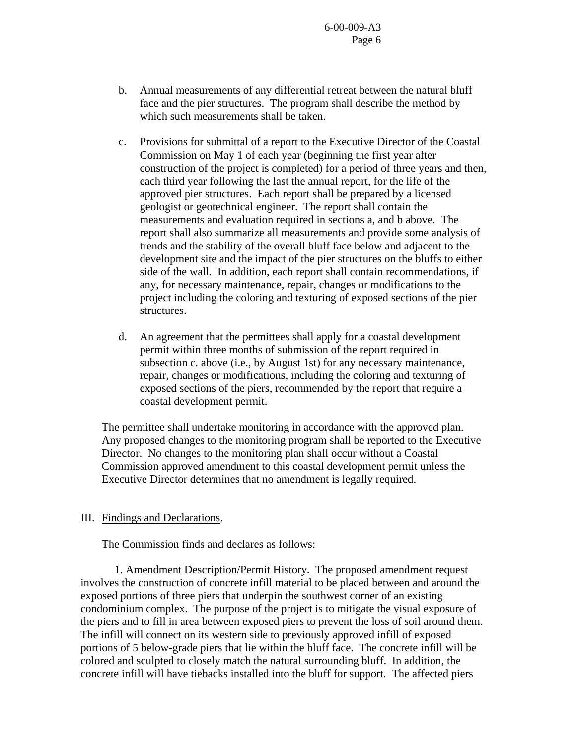- b. Annual measurements of any differential retreat between the natural bluff face and the pier structures. The program shall describe the method by which such measurements shall be taken.
- c. Provisions for submittal of a report to the Executive Director of the Coastal Commission on May 1 of each year (beginning the first year after construction of the project is completed) for a period of three years and then, each third year following the last the annual report, for the life of the approved pier structures. Each report shall be prepared by a licensed geologist or geotechnical engineer. The report shall contain the measurements and evaluation required in sections a, and b above. The report shall also summarize all measurements and provide some analysis of trends and the stability of the overall bluff face below and adjacent to the development site and the impact of the pier structures on the bluffs to either side of the wall. In addition, each report shall contain recommendations, if any, for necessary maintenance, repair, changes or modifications to the project including the coloring and texturing of exposed sections of the pier structures.
- d. An agreement that the permittees shall apply for a coastal development permit within three months of submission of the report required in subsection c. above (i.e., by August 1st) for any necessary maintenance, repair, changes or modifications, including the coloring and texturing of exposed sections of the piers, recommended by the report that require a coastal development permit.

The permittee shall undertake monitoring in accordance with the approved plan. Any proposed changes to the monitoring program shall be reported to the Executive Director. No changes to the monitoring plan shall occur without a Coastal Commission approved amendment to this coastal development permit unless the Executive Director determines that no amendment is legally required.

#### III. Findings and Declarations.

The Commission finds and declares as follows:

 1. Amendment Description/Permit History. The proposed amendment request involves the construction of concrete infill material to be placed between and around the exposed portions of three piers that underpin the southwest corner of an existing condominium complex. The purpose of the project is to mitigate the visual exposure of the piers and to fill in area between exposed piers to prevent the loss of soil around them. The infill will connect on its western side to previously approved infill of exposed portions of 5 below-grade piers that lie within the bluff face. The concrete infill will be colored and sculpted to closely match the natural surrounding bluff. In addition, the concrete infill will have tiebacks installed into the bluff for support. The affected piers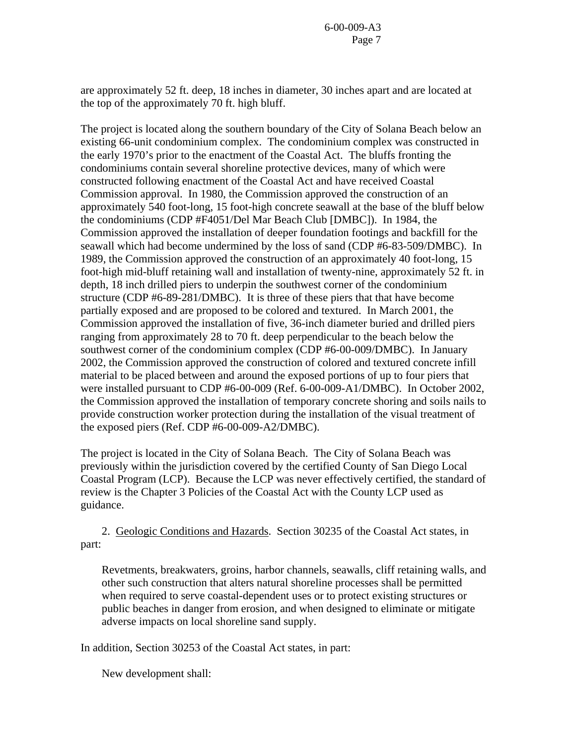are approximately 52 ft. deep, 18 inches in diameter, 30 inches apart and are located at the top of the approximately 70 ft. high bluff.

The project is located along the southern boundary of the City of Solana Beach below an existing 66-unit condominium complex. The condominium complex was constructed in the early 1970's prior to the enactment of the Coastal Act. The bluffs fronting the condominiums contain several shoreline protective devices, many of which were constructed following enactment of the Coastal Act and have received Coastal Commission approval. In 1980, the Commission approved the construction of an approximately 540 foot-long, 15 foot-high concrete seawall at the base of the bluff below the condominiums (CDP #F4051/Del Mar Beach Club [DMBC]). In 1984, the Commission approved the installation of deeper foundation footings and backfill for the seawall which had become undermined by the loss of sand (CDP #6-83-509/DMBC). In 1989, the Commission approved the construction of an approximately 40 foot-long, 15 foot-high mid-bluff retaining wall and installation of twenty-nine, approximately 52 ft. in depth, 18 inch drilled piers to underpin the southwest corner of the condominium structure (CDP #6-89-281/DMBC). It is three of these piers that that have become partially exposed and are proposed to be colored and textured. In March 2001, the Commission approved the installation of five, 36-inch diameter buried and drilled piers ranging from approximately 28 to 70 ft. deep perpendicular to the beach below the southwest corner of the condominium complex (CDP #6-00-009/DMBC). In January 2002, the Commission approved the construction of colored and textured concrete infill material to be placed between and around the exposed portions of up to four piers that were installed pursuant to CDP #6-00-009 (Ref. 6-00-009-A1/DMBC). In October 2002, the Commission approved the installation of temporary concrete shoring and soils nails to provide construction worker protection during the installation of the visual treatment of the exposed piers (Ref. CDP #6-00-009-A2/DMBC).

The project is located in the City of Solana Beach. The City of Solana Beach was previously within the jurisdiction covered by the certified County of San Diego Local Coastal Program (LCP). Because the LCP was never effectively certified, the standard of review is the Chapter 3 Policies of the Coastal Act with the County LCP used as guidance.

 2. Geologic Conditions and Hazards. Section 30235 of the Coastal Act states, in part:

Revetments, breakwaters, groins, harbor channels, seawalls, cliff retaining walls, and other such construction that alters natural shoreline processes shall be permitted when required to serve coastal-dependent uses or to protect existing structures or public beaches in danger from erosion, and when designed to eliminate or mitigate adverse impacts on local shoreline sand supply.

In addition, Section 30253 of the Coastal Act states, in part:

New development shall: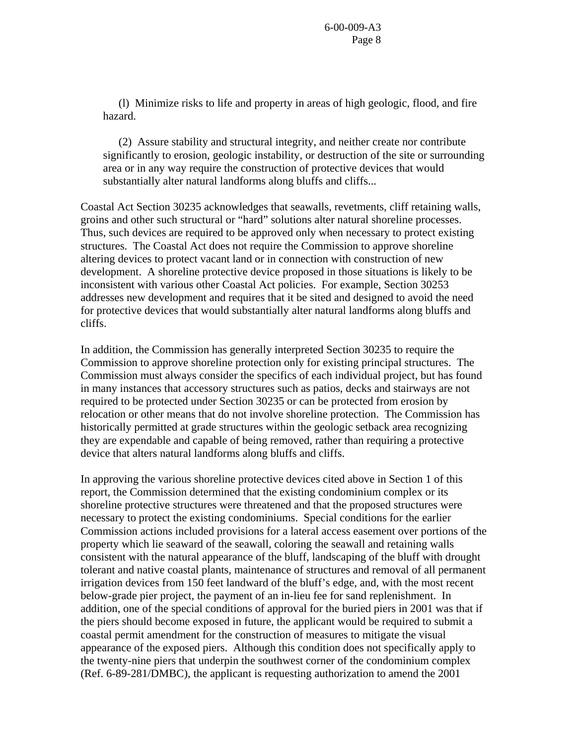(l) Minimize risks to life and property in areas of high geologic, flood, and fire hazard.

 (2) Assure stability and structural integrity, and neither create nor contribute significantly to erosion, geologic instability, or destruction of the site or surrounding area or in any way require the construction of protective devices that would substantially alter natural landforms along bluffs and cliffs...

Coastal Act Section 30235 acknowledges that seawalls, revetments, cliff retaining walls, groins and other such structural or "hard" solutions alter natural shoreline processes. Thus, such devices are required to be approved only when necessary to protect existing structures. The Coastal Act does not require the Commission to approve shoreline altering devices to protect vacant land or in connection with construction of new development. A shoreline protective device proposed in those situations is likely to be inconsistent with various other Coastal Act policies. For example, Section 30253 addresses new development and requires that it be sited and designed to avoid the need for protective devices that would substantially alter natural landforms along bluffs and cliffs.

In addition, the Commission has generally interpreted Section 30235 to require the Commission to approve shoreline protection only for existing principal structures. The Commission must always consider the specifics of each individual project, but has found in many instances that accessory structures such as patios, decks and stairways are not required to be protected under Section 30235 or can be protected from erosion by relocation or other means that do not involve shoreline protection. The Commission has historically permitted at grade structures within the geologic setback area recognizing they are expendable and capable of being removed, rather than requiring a protective device that alters natural landforms along bluffs and cliffs.

In approving the various shoreline protective devices cited above in Section 1 of this report, the Commission determined that the existing condominium complex or its shoreline protective structures were threatened and that the proposed structures were necessary to protect the existing condominiums. Special conditions for the earlier Commission actions included provisions for a lateral access easement over portions of the property which lie seaward of the seawall, coloring the seawall and retaining walls consistent with the natural appearance of the bluff, landscaping of the bluff with drought tolerant and native coastal plants, maintenance of structures and removal of all permanent irrigation devices from 150 feet landward of the bluff's edge, and, with the most recent below-grade pier project, the payment of an in-lieu fee for sand replenishment. In addition, one of the special conditions of approval for the buried piers in 2001 was that if the piers should become exposed in future, the applicant would be required to submit a coastal permit amendment for the construction of measures to mitigate the visual appearance of the exposed piers. Although this condition does not specifically apply to the twenty-nine piers that underpin the southwest corner of the condominium complex (Ref. 6-89-281/DMBC), the applicant is requesting authorization to amend the 2001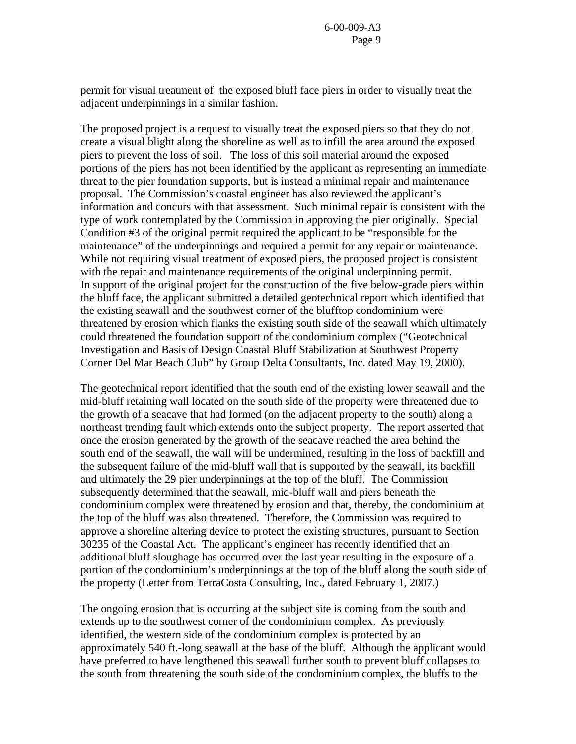permit for visual treatment of the exposed bluff face piers in order to visually treat the adjacent underpinnings in a similar fashion.

The proposed project is a request to visually treat the exposed piers so that they do not create a visual blight along the shoreline as well as to infill the area around the exposed piers to prevent the loss of soil. The loss of this soil material around the exposed portions of the piers has not been identified by the applicant as representing an immediate threat to the pier foundation supports, but is instead a minimal repair and maintenance proposal. The Commission's coastal engineer has also reviewed the applicant's information and concurs with that assessment. Such minimal repair is consistent with the type of work contemplated by the Commission in approving the pier originally. Special Condition #3 of the original permit required the applicant to be "responsible for the maintenance" of the underpinnings and required a permit for any repair or maintenance. While not requiring visual treatment of exposed piers, the proposed project is consistent with the repair and maintenance requirements of the original underpinning permit. In support of the original project for the construction of the five below-grade piers within the bluff face, the applicant submitted a detailed geotechnical report which identified that the existing seawall and the southwest corner of the blufftop condominium were threatened by erosion which flanks the existing south side of the seawall which ultimately could threatened the foundation support of the condominium complex ("Geotechnical Investigation and Basis of Design Coastal Bluff Stabilization at Southwest Property Corner Del Mar Beach Club" by Group Delta Consultants, Inc. dated May 19, 2000).

The geotechnical report identified that the south end of the existing lower seawall and the mid-bluff retaining wall located on the south side of the property were threatened due to the growth of a seacave that had formed (on the adjacent property to the south) along a northeast trending fault which extends onto the subject property. The report asserted that once the erosion generated by the growth of the seacave reached the area behind the south end of the seawall, the wall will be undermined, resulting in the loss of backfill and the subsequent failure of the mid-bluff wall that is supported by the seawall, its backfill and ultimately the 29 pier underpinnings at the top of the bluff. The Commission subsequently determined that the seawall, mid-bluff wall and piers beneath the condominium complex were threatened by erosion and that, thereby, the condominium at the top of the bluff was also threatened. Therefore, the Commission was required to approve a shoreline altering device to protect the existing structures, pursuant to Section 30235 of the Coastal Act. The applicant's engineer has recently identified that an additional bluff sloughage has occurred over the last year resulting in the exposure of a portion of the condominium's underpinnings at the top of the bluff along the south side of the property (Letter from TerraCosta Consulting, Inc., dated February 1, 2007.)

The ongoing erosion that is occurring at the subject site is coming from the south and extends up to the southwest corner of the condominium complex. As previously identified, the western side of the condominium complex is protected by an approximately 540 ft.-long seawall at the base of the bluff. Although the applicant would have preferred to have lengthened this seawall further south to prevent bluff collapses to the south from threatening the south side of the condominium complex, the bluffs to the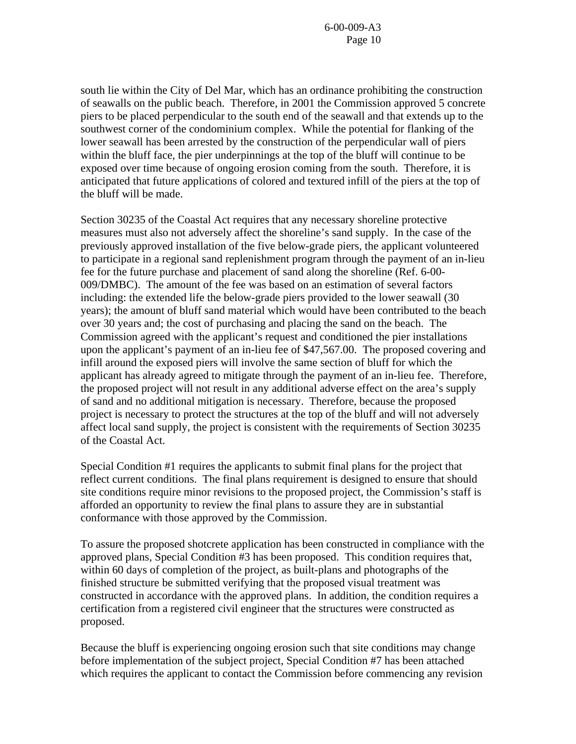south lie within the City of Del Mar, which has an ordinance prohibiting the construction of seawalls on the public beach. Therefore, in 2001 the Commission approved 5 concrete piers to be placed perpendicular to the south end of the seawall and that extends up to the southwest corner of the condominium complex. While the potential for flanking of the lower seawall has been arrested by the construction of the perpendicular wall of piers within the bluff face, the pier underpinnings at the top of the bluff will continue to be exposed over time because of ongoing erosion coming from the south. Therefore, it is anticipated that future applications of colored and textured infill of the piers at the top of the bluff will be made.

Section 30235 of the Coastal Act requires that any necessary shoreline protective measures must also not adversely affect the shoreline's sand supply. In the case of the previously approved installation of the five below-grade piers, the applicant volunteered to participate in a regional sand replenishment program through the payment of an in-lieu fee for the future purchase and placement of sand along the shoreline (Ref. 6-00- 009/DMBC). The amount of the fee was based on an estimation of several factors including: the extended life the below-grade piers provided to the lower seawall (30 years); the amount of bluff sand material which would have been contributed to the beach over 30 years and; the cost of purchasing and placing the sand on the beach. The Commission agreed with the applicant's request and conditioned the pier installations upon the applicant's payment of an in-lieu fee of \$47,567.00. The proposed covering and infill around the exposed piers will involve the same section of bluff for which the applicant has already agreed to mitigate through the payment of an in-lieu fee. Therefore, the proposed project will not result in any additional adverse effect on the area's supply of sand and no additional mitigation is necessary. Therefore, because the proposed project is necessary to protect the structures at the top of the bluff and will not adversely affect local sand supply, the project is consistent with the requirements of Section 30235 of the Coastal Act.

Special Condition #1 requires the applicants to submit final plans for the project that reflect current conditions. The final plans requirement is designed to ensure that should site conditions require minor revisions to the proposed project, the Commission's staff is afforded an opportunity to review the final plans to assure they are in substantial conformance with those approved by the Commission.

To assure the proposed shotcrete application has been constructed in compliance with the approved plans, Special Condition #3 has been proposed. This condition requires that, within 60 days of completion of the project, as built-plans and photographs of the finished structure be submitted verifying that the proposed visual treatment was constructed in accordance with the approved plans. In addition, the condition requires a certification from a registered civil engineer that the structures were constructed as proposed.

Because the bluff is experiencing ongoing erosion such that site conditions may change before implementation of the subject project, Special Condition #7 has been attached which requires the applicant to contact the Commission before commencing any revision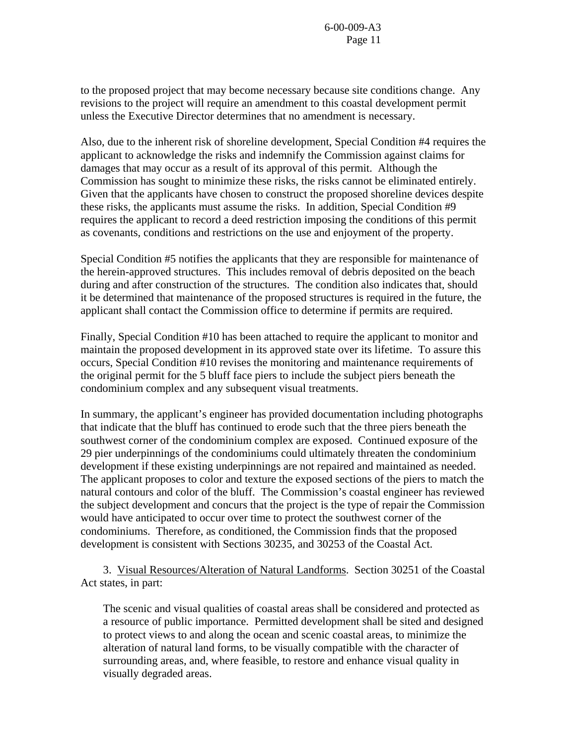to the proposed project that may become necessary because site conditions change. Any revisions to the project will require an amendment to this coastal development permit unless the Executive Director determines that no amendment is necessary.

Also, due to the inherent risk of shoreline development, Special Condition #4 requires the applicant to acknowledge the risks and indemnify the Commission against claims for damages that may occur as a result of its approval of this permit. Although the Commission has sought to minimize these risks, the risks cannot be eliminated entirely. Given that the applicants have chosen to construct the proposed shoreline devices despite these risks, the applicants must assume the risks. In addition, Special Condition #9 requires the applicant to record a deed restriction imposing the conditions of this permit as covenants, conditions and restrictions on the use and enjoyment of the property.

Special Condition #5 notifies the applicants that they are responsible for maintenance of the herein-approved structures. This includes removal of debris deposited on the beach during and after construction of the structures. The condition also indicates that, should it be determined that maintenance of the proposed structures is required in the future, the applicant shall contact the Commission office to determine if permits are required.

Finally, Special Condition #10 has been attached to require the applicant to monitor and maintain the proposed development in its approved state over its lifetime. To assure this occurs, Special Condition #10 revises the monitoring and maintenance requirements of the original permit for the 5 bluff face piers to include the subject piers beneath the condominium complex and any subsequent visual treatments.

In summary, the applicant's engineer has provided documentation including photographs that indicate that the bluff has continued to erode such that the three piers beneath the southwest corner of the condominium complex are exposed. Continued exposure of the 29 pier underpinnings of the condominiums could ultimately threaten the condominium development if these existing underpinnings are not repaired and maintained as needed. The applicant proposes to color and texture the exposed sections of the piers to match the natural contours and color of the bluff. The Commission's coastal engineer has reviewed the subject development and concurs that the project is the type of repair the Commission would have anticipated to occur over time to protect the southwest corner of the condominiums. Therefore, as conditioned, the Commission finds that the proposed development is consistent with Sections 30235, and 30253 of the Coastal Act.

3. Visual Resources/Alteration of Natural Landforms. Section 30251 of the Coastal Act states, in part:

 The scenic and visual qualities of coastal areas shall be considered and protected as a resource of public importance. Permitted development shall be sited and designed to protect views to and along the ocean and scenic coastal areas, to minimize the alteration of natural land forms, to be visually compatible with the character of surrounding areas, and, where feasible, to restore and enhance visual quality in visually degraded areas.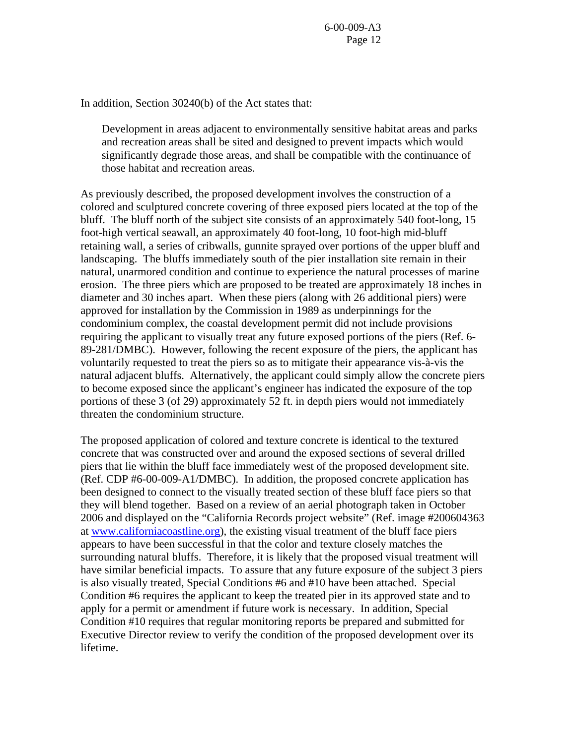In addition, Section 30240(b) of the Act states that:

Development in areas adjacent to environmentally sensitive habitat areas and parks and recreation areas shall be sited and designed to prevent impacts which would significantly degrade those areas, and shall be compatible with the continuance of those habitat and recreation areas.

As previously described, the proposed development involves the construction of a colored and sculptured concrete covering of three exposed piers located at the top of the bluff. The bluff north of the subject site consists of an approximately 540 foot-long, 15 foot-high vertical seawall, an approximately 40 foot-long, 10 foot-high mid-bluff retaining wall, a series of cribwalls, gunnite sprayed over portions of the upper bluff and landscaping. The bluffs immediately south of the pier installation site remain in their natural, unarmored condition and continue to experience the natural processes of marine erosion. The three piers which are proposed to be treated are approximately 18 inches in diameter and 30 inches apart. When these piers (along with 26 additional piers) were approved for installation by the Commission in 1989 as underpinnings for the condominium complex, the coastal development permit did not include provisions requiring the applicant to visually treat any future exposed portions of the piers (Ref. 6- 89-281/DMBC). However, following the recent exposure of the piers, the applicant has voluntarily requested to treat the piers so as to mitigate their appearance vis-à-vis the natural adjacent bluffs. Alternatively, the applicant could simply allow the concrete piers to become exposed since the applicant's engineer has indicated the exposure of the top portions of these 3 (of 29) approximately 52 ft. in depth piers would not immediately threaten the condominium structure.

The proposed application of colored and texture concrete is identical to the textured concrete that was constructed over and around the exposed sections of several drilled piers that lie within the bluff face immediately west of the proposed development site. (Ref. CDP #6-00-009-A1/DMBC). In addition, the proposed concrete application has been designed to connect to the visually treated section of these bluff face piers so that they will blend together. Based on a review of an aerial photograph taken in October 2006 and displayed on the "California Records project website" (Ref. image #200604363 at [www.californiacoastline.org\)](http://www.californiacoastline.org/), the existing visual treatment of the bluff face piers appears to have been successful in that the color and texture closely matches the surrounding natural bluffs. Therefore, it is likely that the proposed visual treatment will have similar beneficial impacts. To assure that any future exposure of the subject 3 piers is also visually treated, Special Conditions #6 and #10 have been attached. Special Condition #6 requires the applicant to keep the treated pier in its approved state and to apply for a permit or amendment if future work is necessary. In addition, Special Condition #10 requires that regular monitoring reports be prepared and submitted for Executive Director review to verify the condition of the proposed development over its lifetime.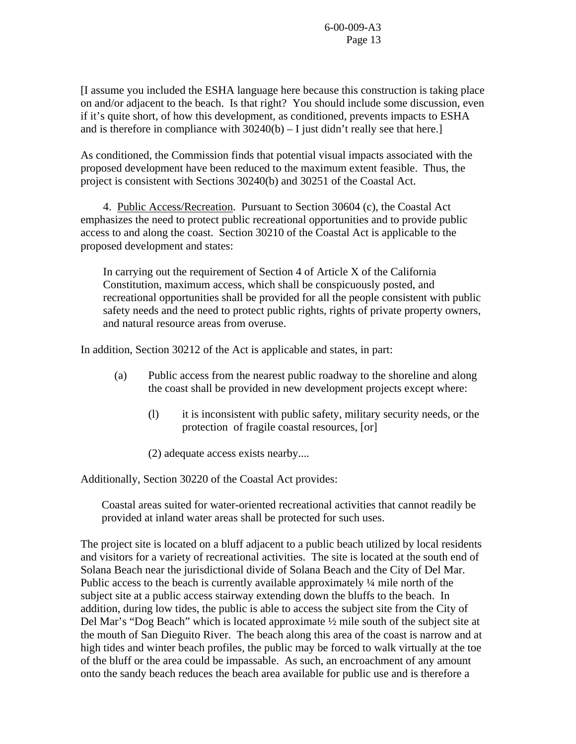[I assume you included the ESHA language here because this construction is taking place on and/or adjacent to the beach. Is that right? You should include some discussion, even if it's quite short, of how this development, as conditioned, prevents impacts to ESHA and is therefore in compliance with  $30240(b) - I$  just didn't really see that here.]

As conditioned, the Commission finds that potential visual impacts associated with the proposed development have been reduced to the maximum extent feasible. Thus, the project is consistent with Sections 30240(b) and 30251 of the Coastal Act.

4. Public Access/Recreation. Pursuant to Section 30604 (c), the Coastal Act emphasizes the need to protect public recreational opportunities and to provide public access to and along the coast. Section 30210 of the Coastal Act is applicable to the proposed development and states:

In carrying out the requirement of Section 4 of Article X of the California Constitution, maximum access, which shall be conspicuously posted, and recreational opportunities shall be provided for all the people consistent with public safety needs and the need to protect public rights, rights of private property owners, and natural resource areas from overuse.

In addition, Section 30212 of the Act is applicable and states, in part:

- (a) Public access from the nearest public roadway to the shoreline and along the coast shall be provided in new development projects except where:
	- (l) it is inconsistent with public safety, military security needs, or the protection of fragile coastal resources, [or]
	- (2) adequate access exists nearby....

Additionally, Section 30220 of the Coastal Act provides:

Coastal areas suited for water-oriented recreational activities that cannot readily be provided at inland water areas shall be protected for such uses.

The project site is located on a bluff adjacent to a public beach utilized by local residents and visitors for a variety of recreational activities. The site is located at the south end of Solana Beach near the jurisdictional divide of Solana Beach and the City of Del Mar. Public access to the beach is currently available approximately  $\frac{1}{4}$  mile north of the subject site at a public access stairway extending down the bluffs to the beach. In addition, during low tides, the public is able to access the subject site from the City of Del Mar's "Dog Beach" which is located approximate ½ mile south of the subject site at the mouth of San Dieguito River. The beach along this area of the coast is narrow and at high tides and winter beach profiles, the public may be forced to walk virtually at the toe of the bluff or the area could be impassable. As such, an encroachment of any amount onto the sandy beach reduces the beach area available for public use and is therefore a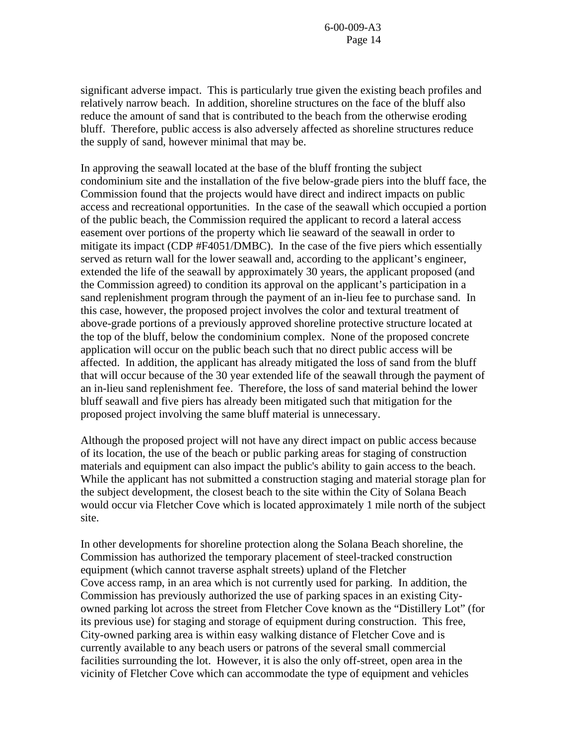significant adverse impact. This is particularly true given the existing beach profiles and relatively narrow beach. In addition, shoreline structures on the face of the bluff also reduce the amount of sand that is contributed to the beach from the otherwise eroding bluff. Therefore, public access is also adversely affected as shoreline structures reduce the supply of sand, however minimal that may be.

In approving the seawall located at the base of the bluff fronting the subject condominium site and the installation of the five below-grade piers into the bluff face, the Commission found that the projects would have direct and indirect impacts on public access and recreational opportunities. In the case of the seawall which occupied a portion of the public beach, the Commission required the applicant to record a lateral access easement over portions of the property which lie seaward of the seawall in order to mitigate its impact (CDP #F4051/DMBC). In the case of the five piers which essentially served as return wall for the lower seawall and, according to the applicant's engineer, extended the life of the seawall by approximately 30 years, the applicant proposed (and the Commission agreed) to condition its approval on the applicant's participation in a sand replenishment program through the payment of an in-lieu fee to purchase sand. In this case, however, the proposed project involves the color and textural treatment of above-grade portions of a previously approved shoreline protective structure located at the top of the bluff, below the condominium complex. None of the proposed concrete application will occur on the public beach such that no direct public access will be affected. In addition, the applicant has already mitigated the loss of sand from the bluff that will occur because of the 30 year extended life of the seawall through the payment of an in-lieu sand replenishment fee. Therefore, the loss of sand material behind the lower bluff seawall and five piers has already been mitigated such that mitigation for the proposed project involving the same bluff material is unnecessary.

Although the proposed project will not have any direct impact on public access because of its location, the use of the beach or public parking areas for staging of construction materials and equipment can also impact the public's ability to gain access to the beach. While the applicant has not submitted a construction staging and material storage plan for the subject development, the closest beach to the site within the City of Solana Beach would occur via Fletcher Cove which is located approximately 1 mile north of the subject site.

In other developments for shoreline protection along the Solana Beach shoreline, the Commission has authorized the temporary placement of steel-tracked construction equipment (which cannot traverse asphalt streets) upland of the Fletcher Cove access ramp, in an area which is not currently used for parking. In addition, the Commission has previously authorized the use of parking spaces in an existing Cityowned parking lot across the street from Fletcher Cove known as the "Distillery Lot" (for its previous use) for staging and storage of equipment during construction. This free, City-owned parking area is within easy walking distance of Fletcher Cove and is currently available to any beach users or patrons of the several small commercial facilities surrounding the lot. However, it is also the only off-street, open area in the vicinity of Fletcher Cove which can accommodate the type of equipment and vehicles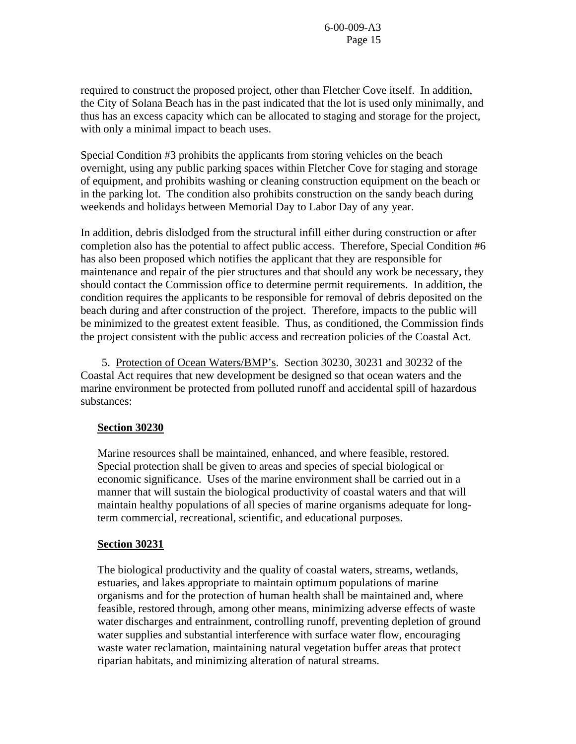required to construct the proposed project, other than Fletcher Cove itself. In addition, the City of Solana Beach has in the past indicated that the lot is used only minimally, and thus has an excess capacity which can be allocated to staging and storage for the project, with only a minimal impact to beach uses.

Special Condition #3 prohibits the applicants from storing vehicles on the beach overnight, using any public parking spaces within Fletcher Cove for staging and storage of equipment, and prohibits washing or cleaning construction equipment on the beach or in the parking lot. The condition also prohibits construction on the sandy beach during weekends and holidays between Memorial Day to Labor Day of any year.

In addition, debris dislodged from the structural infill either during construction or after completion also has the potential to affect public access. Therefore, Special Condition #6 has also been proposed which notifies the applicant that they are responsible for maintenance and repair of the pier structures and that should any work be necessary, they should contact the Commission office to determine permit requirements. In addition, the condition requires the applicants to be responsible for removal of debris deposited on the beach during and after construction of the project. Therefore, impacts to the public will be minimized to the greatest extent feasible. Thus, as conditioned, the Commission finds the project consistent with the public access and recreation policies of the Coastal Act.

 5. Protection of Ocean Waters/BMP's. Section 30230, 30231 and 30232 of the Coastal Act requires that new development be designed so that ocean waters and the marine environment be protected from polluted runoff and accidental spill of hazardous substances:

#### **Section 30230**

Marine resources shall be maintained, enhanced, and where feasible, restored. Special protection shall be given to areas and species of special biological or economic significance. Uses of the marine environment shall be carried out in a manner that will sustain the biological productivity of coastal waters and that will maintain healthy populations of all species of marine organisms adequate for longterm commercial, recreational, scientific, and educational purposes.

#### **Section 30231**

The biological productivity and the quality of coastal waters, streams, wetlands, estuaries, and lakes appropriate to maintain optimum populations of marine organisms and for the protection of human health shall be maintained and, where feasible, restored through, among other means, minimizing adverse effects of waste water discharges and entrainment, controlling runoff, preventing depletion of ground water supplies and substantial interference with surface water flow, encouraging waste water reclamation, maintaining natural vegetation buffer areas that protect riparian habitats, and minimizing alteration of natural streams.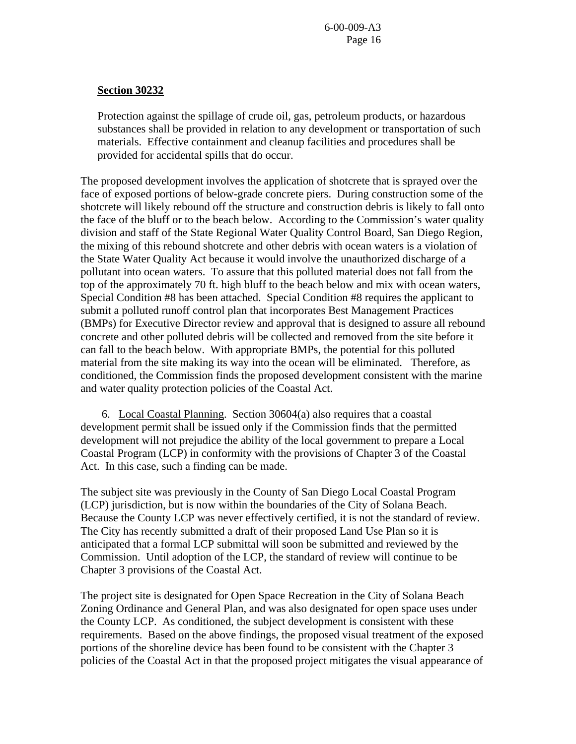#### **Section 30232**

Protection against the spillage of crude oil, gas, petroleum products, or hazardous substances shall be provided in relation to any development or transportation of such materials. Effective containment and cleanup facilities and procedures shall be provided for accidental spills that do occur.

The proposed development involves the application of shotcrete that is sprayed over the face of exposed portions of below-grade concrete piers. During construction some of the shotcrete will likely rebound off the structure and construction debris is likely to fall onto the face of the bluff or to the beach below. According to the Commission's water quality division and staff of the State Regional Water Quality Control Board, San Diego Region, the mixing of this rebound shotcrete and other debris with ocean waters is a violation of the State Water Quality Act because it would involve the unauthorized discharge of a pollutant into ocean waters. To assure that this polluted material does not fall from the top of the approximately 70 ft. high bluff to the beach below and mix with ocean waters, Special Condition #8 has been attached. Special Condition #8 requires the applicant to submit a polluted runoff control plan that incorporates Best Management Practices (BMPs) for Executive Director review and approval that is designed to assure all rebound concrete and other polluted debris will be collected and removed from the site before it can fall to the beach below. With appropriate BMPs, the potential for this polluted material from the site making its way into the ocean will be eliminated. Therefore, as conditioned, the Commission finds the proposed development consistent with the marine and water quality protection policies of the Coastal Act.

 6. Local Coastal Planning. Section 30604(a) also requires that a coastal development permit shall be issued only if the Commission finds that the permitted development will not prejudice the ability of the local government to prepare a Local Coastal Program (LCP) in conformity with the provisions of Chapter 3 of the Coastal Act. In this case, such a finding can be made.

The subject site was previously in the County of San Diego Local Coastal Program (LCP) jurisdiction, but is now within the boundaries of the City of Solana Beach. Because the County LCP was never effectively certified, it is not the standard of review. The City has recently submitted a draft of their proposed Land Use Plan so it is anticipated that a formal LCP submittal will soon be submitted and reviewed by the Commission. Until adoption of the LCP, the standard of review will continue to be Chapter 3 provisions of the Coastal Act.

The project site is designated for Open Space Recreation in the City of Solana Beach Zoning Ordinance and General Plan, and was also designated for open space uses under the County LCP. As conditioned, the subject development is consistent with these requirements. Based on the above findings, the proposed visual treatment of the exposed portions of the shoreline device has been found to be consistent with the Chapter 3 policies of the Coastal Act in that the proposed project mitigates the visual appearance of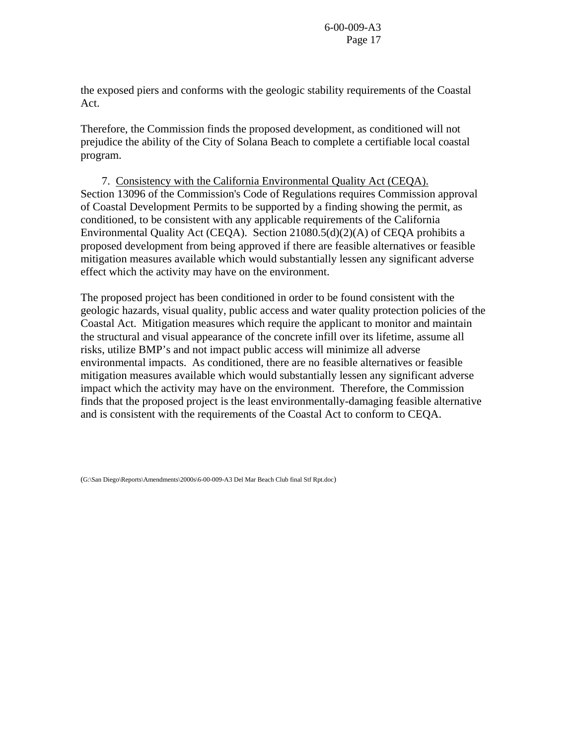the exposed piers and conforms with the geologic stability requirements of the Coastal Act.

Therefore, the Commission finds the proposed development, as conditioned will not prejudice the ability of the City of Solana Beach to complete a certifiable local coastal program.

 7. Consistency with the California Environmental Quality Act (CEQA). Section 13096 of the Commission's Code of Regulations requires Commission approval of Coastal Development Permits to be supported by a finding showing the permit, as conditioned, to be consistent with any applicable requirements of the California Environmental Quality Act (CEQA). Section 21080.5(d)(2)(A) of CEQA prohibits a proposed development from being approved if there are feasible alternatives or feasible mitigation measures available which would substantially lessen any significant adverse effect which the activity may have on the environment.

The proposed project has been conditioned in order to be found consistent with the geologic hazards, visual quality, public access and water quality protection policies of the Coastal Act. Mitigation measures which require the applicant to monitor and maintain the structural and visual appearance of the concrete infill over its lifetime, assume all risks, utilize BMP's and not impact public access will minimize all adverse environmental impacts. As conditioned, there are no feasible alternatives or feasible mitigation measures available which would substantially lessen any significant adverse impact which the activity may have on the environment. Therefore, the Commission finds that the proposed project is the least environmentally-damaging feasible alternative and is consistent with the requirements of the Coastal Act to conform to CEQA.

(G:\San Diego\Reports\Amendments\2000s\6-00-009-A3 Del Mar Beach Club final Stf Rpt.doc)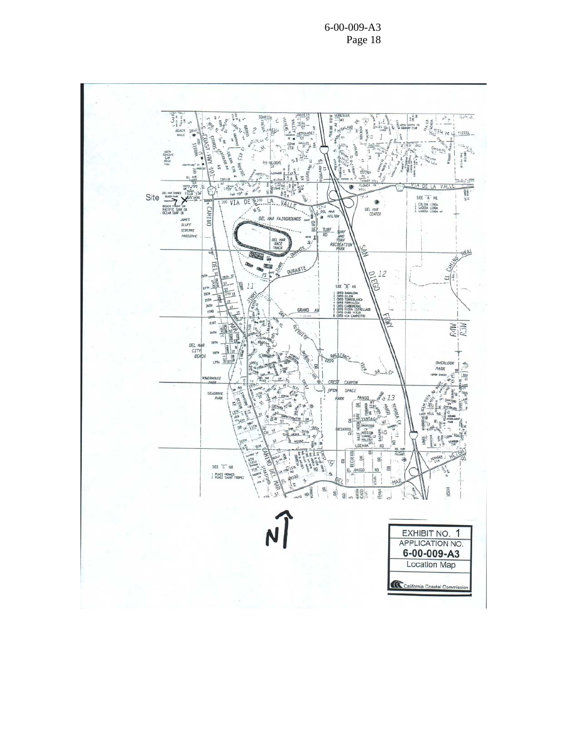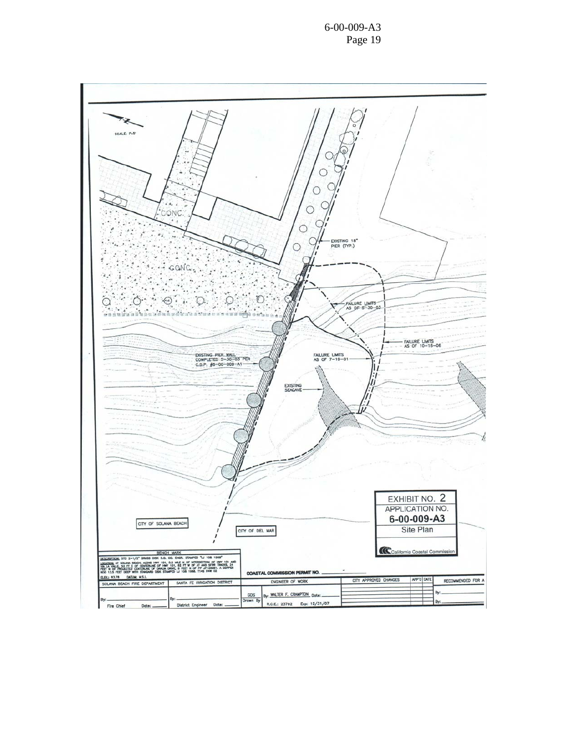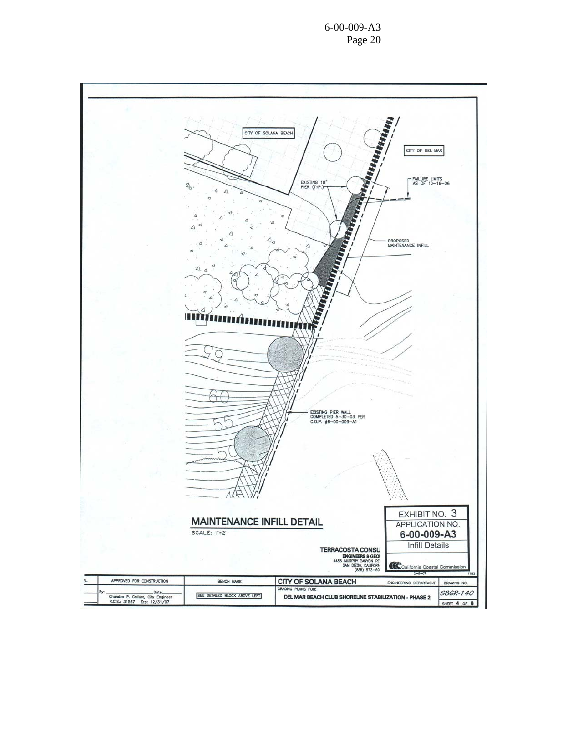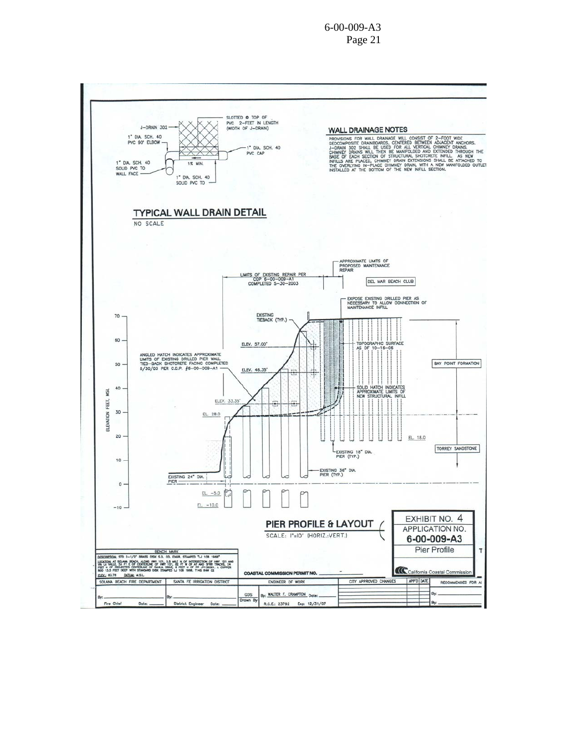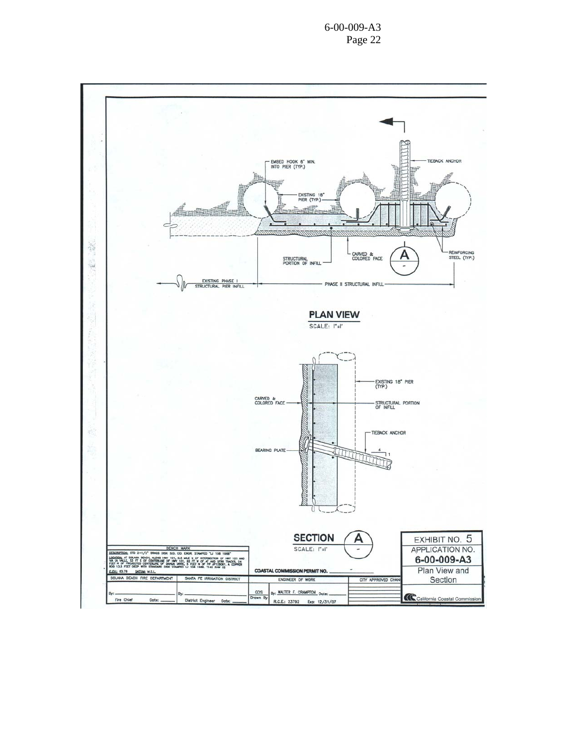